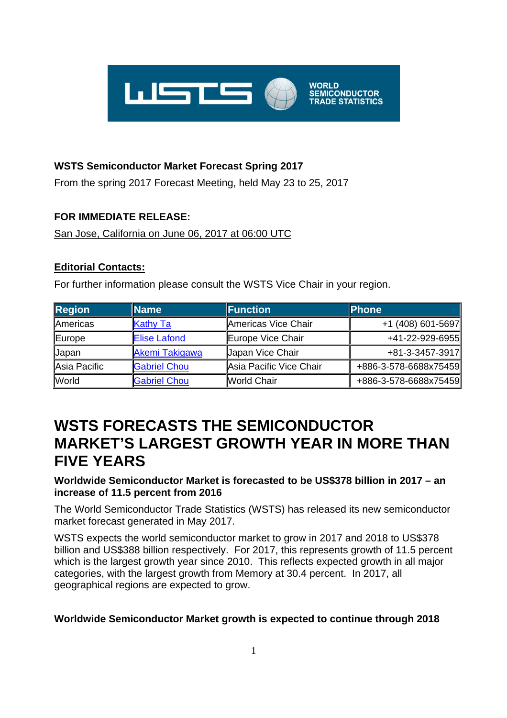

### **WSTS Semiconductor Market Forecast Spring 2017**

From the spring 2017 Forecast Meeting, held May 23 to 25, 2017

## **FOR IMMEDIATE RELEASE:**

San Jose, California on June 06, 2017 at 06:00 UTC

### **Editorial Contacts:**

For further information please consult the WSTS Vice Chair in your region.

| <b>Region</b> | <b>Name</b>           | Function                | <b>Phone</b>          |  |  |
|---------------|-----------------------|-------------------------|-----------------------|--|--|
| Americas      | <b>Kathy Ta</b>       | Americas Vice Chair     | +1 (408) 601-5697     |  |  |
| Europe        | <b>Elise Lafond</b>   | Europe Vice Chair       | +41-22-929-6955       |  |  |
| <b>Japan</b>  | <b>Akemi Takigawa</b> | <b>Japan Vice Chair</b> | +81-3-3457-3917       |  |  |
| Asia Pacific  | <b>Gabriel Chou</b>   | Asia Pacific Vice Chair | +886-3-578-6688x75459 |  |  |
| <b>World</b>  | <b>Gabriel Chou</b>   | <b>World Chair</b>      | +886-3-578-6688x75459 |  |  |

## **WSTS FORECASTS THE SEMICONDUCTOR MARKET'S LARGEST GROWTH YEAR IN MORE THAN FIVE YEARS**

#### **Worldwide Semiconductor Market is forecasted to be US\$378 billion in 2017 – an increase of 11.5 percent from 2016**

The World Semiconductor Trade Statistics (WSTS) has released its new semiconductor market forecast generated in May 2017.

WSTS expects the world semiconductor market to grow in 2017 and 2018 to US\$378 billion and US\$388 billion respectively. For 2017, this represents growth of 11.5 percent which is the largest growth year since 2010. This reflects expected growth in all major categories, with the largest growth from Memory at 30.4 percent. In 2017, all geographical regions are expected to grow.

#### **Worldwide Semiconductor Market growth is expected to continue through 2018**